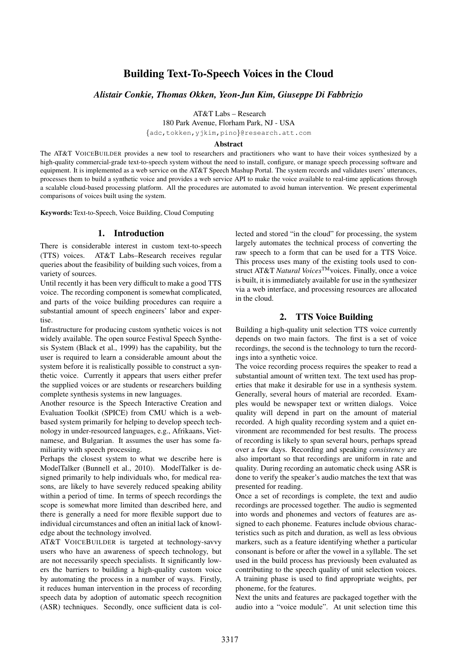# Building Text-To-Speech Voices in the Cloud

*Alistair Conkie, Thomas Okken, Yeon-Jun Kim, Giuseppe Di Fabbrizio*

AT&T Labs – Research

180 Park Avenue, Florham Park, NJ - USA

{adc,tokken,yjkim,pino}@research.att.com

#### Abstract

The AT&T VOICEBUILDER provides a new tool to researchers and practitioners who want to have their voices synthesized by a high-quality commercial-grade text-to-speech system without the need to install, configure, or manage speech processing software and equipment. It is implemented as a web service on the AT&T Speech Mashup Portal. The system records and validates users' utterances, processes them to build a synthetic voice and provides a web service API to make the voice available to real-time applications through a scalable cloud-based processing platform. All the procedures are automated to avoid human intervention. We present experimental comparisons of voices built using the system.

Keywords: Text-to-Speech, Voice Building, Cloud Computing

# 1. Introduction

There is considerable interest in custom text-to-speech (TTS) voices. AT&T Labs–Research receives regular queries about the feasibility of building such voices, from a variety of sources.

Until recently it has been very difficult to make a good TTS voice. The recording component is somewhat complicated, and parts of the voice building procedures can require a substantial amount of speech engineers' labor and expertise.

Infrastructure for producing custom synthetic voices is not widely available. The open source Festival Speech Synthesis System (Black et al., 1999) has the capability, but the user is required to learn a considerable amount about the system before it is realistically possible to construct a synthetic voice. Currently it appears that users either prefer the supplied voices or are students or researchers building complete synthesis systems in new languages.

Another resource is the Speech Interactive Creation and Evaluation Toolkit (SPICE) from CMU which is a webbased system primarily for helping to develop speech technology in under-resourced languages, e.g., Afrikaans, Vietnamese, and Bulgarian. It assumes the user has some familiarity with speech processing.

Perhaps the closest system to what we describe here is ModelTalker (Bunnell et al., 2010). ModelTalker is designed primarily to help individuals who, for medical reasons, are likely to have severely reduced speaking ability within a period of time. In terms of speech recordings the scope is somewhat more limited than described here, and there is generally a need for more flexible support due to individual circumstances and often an initial lack of knowledge about the technology involved.

AT&T VOICEBUILDER is targeted at technology-savvy users who have an awareness of speech technology, but are not necessarily speech specialists. It significantly lowers the barriers to building a high-quality custom voice by automating the process in a number of ways. Firstly, it reduces human intervention in the process of recording speech data by adoption of automatic speech recognition (ASR) techniques. Secondly, once sufficient data is collected and stored "in the cloud" for processing, the system largely automates the technical process of converting the raw speech to a form that can be used for a TTS Voice. This process uses many of the existing tools used to construct AT&T *Natural Voices*TMvoices. Finally, once a voice is built, it is immediately available for use in the synthesizer via a web interface, and processing resources are allocated in the cloud.

# 2. TTS Voice Building

Building a high-quality unit selection TTS voice currently depends on two main factors. The first is a set of voice recordings, the second is the technology to turn the recordings into a synthetic voice.

The voice recording process requires the speaker to read a substantial amount of written text. The text used has properties that make it desirable for use in a synthesis system. Generally, several hours of material are recorded. Examples would be newspaper text or written dialogs. Voice quality will depend in part on the amount of material recorded. A high quality recording system and a quiet environment are recommended for best results. The process of recording is likely to span several hours, perhaps spread over a few days. Recording and speaking *consistency* are also important so that recordings are uniform in rate and quality. During recording an automatic check using ASR is done to verify the speaker's audio matches the text that was presented for reading.

Once a set of recordings is complete, the text and audio recordings are processed together. The audio is segmented into words and phonemes and vectors of features are assigned to each phoneme. Features include obvious characteristics such as pitch and duration, as well as less obvious markers, such as a feature identifying whether a particular consonant is before or after the vowel in a syllable. The set used in the build process has previously been evaluated as contributing to the speech quality of unit selection voices. A training phase is used to find appropriate weights, per phoneme, for the features.

Next the units and features are packaged together with the audio into a "voice module". At unit selection time this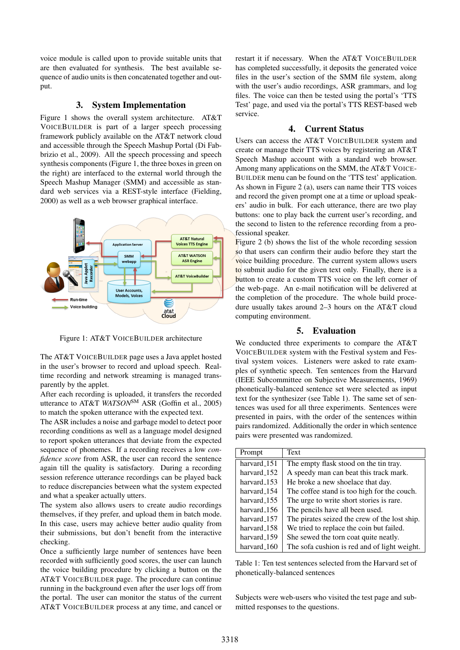voice module is called upon to provide suitable units that are then evaluated for synthesis. The best available sequence of audio units is then concatenated together and output.

#### 3. System Implementation

Figure 1 shows the overall system architecture. AT&T VOICEBUILDER is part of a larger speech processing framework publicly available on the AT&T network cloud and accessible through the Speech Mashup Portal (Di Fabbrizio et al., 2009). All the speech processing and speech synthesis components (Figure 1, the three boxes in green on the right) are interfaced to the external world through the Speech Mashup Manager (SMM) and accessible as standard web services via a REST-style interface (Fielding, 2000) as well as a web browser graphical interface.



Figure 1: AT&T VOICEBUILDER architecture

The AT&T VOICEBUILDER page uses a Java applet hosted in the user's browser to record and upload speech. Realtime recording and network streaming is managed transparently by the applet.

After each recording is uploaded, it transfers the recorded utterance to AT&T *WATSON*SM ASR (Goffin et al., 2005) to match the spoken utterance with the expected text.

The ASR includes a noise and garbage model to detect poor recording conditions as well as a language model designed to report spoken utterances that deviate from the expected sequence of phonemes. If a recording receives a low *confidence score* from ASR, the user can record the sentence again till the quality is satisfactory. During a recording session reference utterance recordings can be played back to reduce discrepancies between what the system expected and what a speaker actually utters.

The system also allows users to create audio recordings themselves, if they prefer, and upload them in batch mode. In this case, users may achieve better audio quality from their submissions, but don't benefit from the interactive checking.

Once a sufficiently large number of sentences have been recorded with sufficiently good scores, the user can launch the voice building procedure by clicking a button on the AT&T VOICEBUILDER page. The procedure can continue running in the background even after the user logs off from the portal. The user can monitor the status of the current AT&T VOICEBUILDER process at any time, and cancel or restart it if necessary. When the AT&T VOICEBUILDER has completed successfully, it deposits the generated voice files in the user's section of the SMM file system, along with the user's audio recordings, ASR grammars, and log files. The voice can then be tested using the portal's 'TTS Test' page, and used via the portal's TTS REST-based web service.

## 4. Current Status

Users can access the AT&T VOICEBUILDER system and create or manage their TTS voices by registering an AT&T Speech Mashup account with a standard web browser. Among many applications on the SMM, the AT&T VOICE-BUILDER menu can be found on the 'TTS test' application. As shown in Figure 2 (a), users can name their TTS voices and record the given prompt one at a time or upload speakers' audio in bulk. For each utterance, there are two play buttons: one to play back the current user's recording, and the second to listen to the reference recording from a professional speaker.

Figure 2 (b) shows the list of the whole recording session so that users can confirm their audio before they start the voice building procedure. The current system allows users to submit audio for the given text only. Finally, there is a button to create a custom TTS voice on the left corner of the web-page. An e-mail notification will be delivered at the completion of the procedure. The whole build procedure usually takes around 2–3 hours on the AT&T cloud computing environment.

#### 5. Evaluation

We conducted three experiments to compare the AT&T VOICEBUILDER system with the Festival system and Festival system voices. Listeners were asked to rate examples of synthetic speech. Ten sentences from the Harvard (IEEE Subcommittee on Subjective Measurements, 1969) phonetically-balanced sentence set were selected as input text for the synthesizer (see Table 1). The same set of sentences was used for all three experiments. Sentences were presented in pairs, with the order of the sentences within pairs randomized. Additionally the order in which sentence pairs were presented was randomized.

| Prompt                  | Text                                          |
|-------------------------|-----------------------------------------------|
| harvard_151             | The empty flask stood on the tin tray.        |
| harvard_152             | A speedy man can beat this track mark.        |
| harvard_153             | He broke a new shoelace that day.             |
| harvard 154             | The coffee stand is too high for the couch.   |
| harvard_155             | The urge to write short stories is rare.      |
| harvard_156             | The pencils have all been used.               |
| harvard_157             | The pirates seized the crew of the lost ship. |
| harvard <sub>-158</sub> | We tried to replace the coin but failed.      |
| harvard_159             | She sewed the torn coat quite neatly.         |
| harvard_160             | The sofa cushion is red and of light weight.  |

Table 1: Ten test sentences selected from the Harvard set of phonetically-balanced sentences

Subjects were web-users who visited the test page and submitted responses to the questions.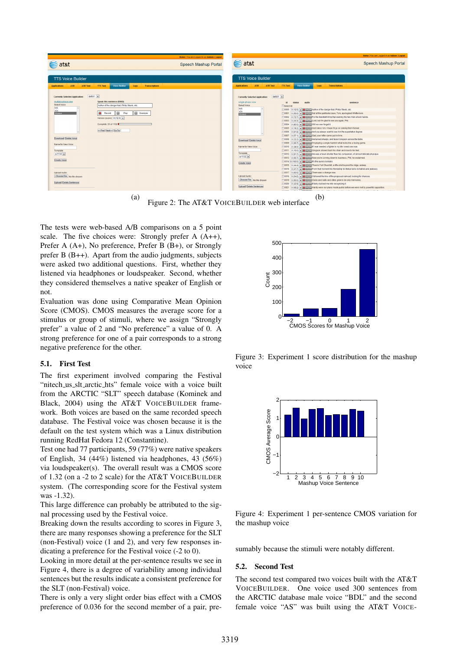

(a) Figure 2: The AT&T VOICEBUILDER web interface  $(b)$ 

The tests were web-based A/B comparisons on a 5 point scale. The five choices were: Strongly prefer A (A++), Prefer A (A+), No preference, Prefer B (B+), or Strongly prefer B (B++). Apart from the audio judgments, subjects were asked two additional questions. First, whether they listened via headphones or loudspeaker. Second, whether they considered themselves a native speaker of English or not.

Evaluation was done using Comparative Mean Opinion Score (CMOS). CMOS measures the average score for a stimulus or group of stimuli, where we assign "Strongly prefer" a value of 2 and "No preference" a value of 0. A strong preference for one of a pair corresponds to a strong negative preference for the other.

#### 5.1. First Test

The first experiment involved comparing the Festival "nitech us slt arctic hts" female voice with a voice built from the ARCTIC "SLT" speech database (Kominek and Black, 2004) using the AT&T VOICEBUILDER framework. Both voices are based on the same recorded speech database. The Festival voice was chosen because it is the default on the test system which was a Linux distribution running RedHat Fedora 12 (Constantine).

Test one had 77 participants, 59 (77%) were native speakers of English, 34 (44%) listened via headphones, 43 (56%) via loudspeaker(s). The overall result was a CMOS score of 1.32 (on a -2 to 2 scale) for the AT&T VOICEBUILDER system. (The corresponding score for the Festival system was -1.32).

This large difference can probably be attributed to the signal processing used by the Festival voice.

Breaking down the results according to scores in Figure 3, there are many responses showing a preference for the SLT (non-Festival) voice (1 and 2), and very few responses indicating a preference for the Festival voice (-2 to 0).

Looking in more detail at the per-sentence results we see in Figure 4, there is a degree of variability among individual sentences but the results indicate a consistent preference for the SLT (non-Festival) voice.

There is only a very slight order bias effect with a CMOS preference of 0.036 for the second member of a pair, pre-



Figure 3: Experiment 1 score distribution for the mashup voice



Figure 4: Experiment 1 per-sentence CMOS variation for the mashup voice

sumably because the stimuli were notably different.

#### 5.2. Second Test

The second test compared two voices built with the AT&T VOICEBUILDER. One voice used 300 sentences from the ARCTIC database male voice "BDL" and the second female voice "AS" was built using the AT&T VOICE-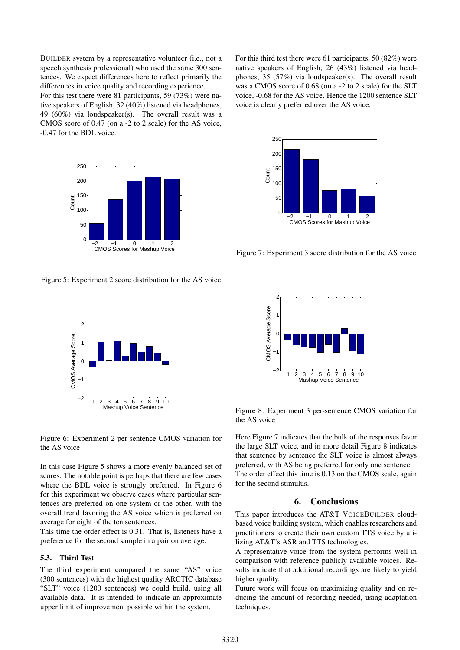BUILDER system by a representative volunteer (i.e., not a speech synthesis professional) who used the same 300 sentences. We expect differences here to reflect primarily the differences in voice quality and recording experience.

For this test there were 81 participants, 59 (73%) were native speakers of English, 32 (40%) listened via headphones, 49 (60%) via loudspeaker(s). The overall result was a CMOS score of 0.47 (on a -2 to 2 scale) for the AS voice, -0.47 for the BDL voice.



Figure 5: Experiment 2 score distribution for the AS voice



Figure 6: Experiment 2 per-sentence CMOS variation for the AS voice

In this case Figure 5 shows a more evenly balanced set of scores. The notable point is perhaps that there are few cases where the BDL voice is strongly preferred. In Figure 6 for this experiment we observe cases where particular sentences are preferred on one system or the other, with the overall trend favoring the AS voice which is preferred on average for eight of the ten sentences.

This time the order effect is 0.31. That is, listeners have a preference for the second sample in a pair on average.

#### 5.3. Third Test

The third experiment compared the same "AS" voice (300 sentences) with the highest quality ARCTIC database "SLT" voice (1200 sentences) we could build, using all available data. It is intended to indicate an approximate upper limit of improvement possible within the system.

For this third test there were 61 participants, 50 (82%) were native speakers of English, 26 (43%) listened via headphones, 35 (57%) via loudspeaker(s). The overall result was a CMOS score of 0.68 (on a -2 to 2 scale) for the SLT voice, -0.68 for the AS voice. Hence the 1200 sentence SLT voice is clearly preferred over the AS voice.



Figure 7: Experiment 3 score distribution for the AS voice



Figure 8: Experiment 3 per-sentence CMOS variation for the AS voice

Here Figure 7 indicates that the bulk of the responses favor the large SLT voice, and in more detail Figure 8 indicates that sentence by sentence the SLT voice is almost always preferred, with AS being preferred for only one sentence. The order effect this time is 0.13 on the CMOS scale, again for the second stimulus.

# 6. Conclusions

This paper introduces the AT&T VOICEBUILDER cloudbased voice building system, which enables researchers and practitioners to create their own custom TTS voice by utilizing AT&T's ASR and TTS technologies.

A representative voice from the system performs well in comparison with reference publicly available voices. Results indicate that additional recordings are likely to yield higher quality.

Future work will focus on maximizing quality and on reducing the amount of recording needed, using adaptation techniques.